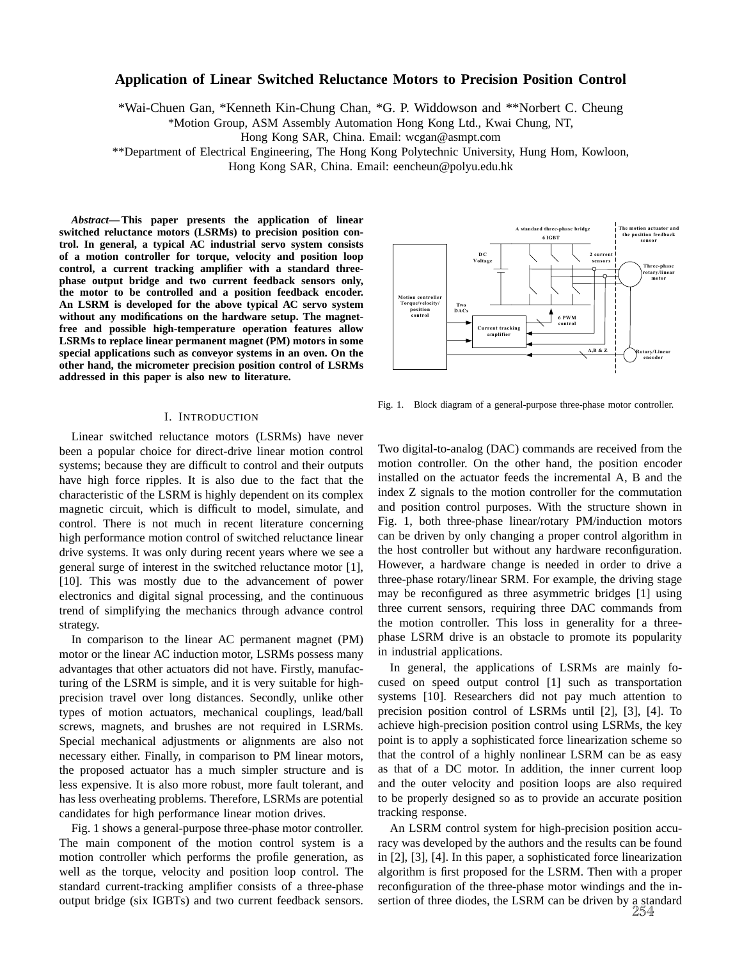# **Application of Linear Switched Reluctance Motors to Precision Position Control**

\*Wai-Chuen Gan, \*Kenneth Kin-Chung Chan, \*G. P. Widdowson and \*\*Norbert C. Cheung

\*Motion Group, ASM Assembly Automation Hong Kong Ltd., Kwai Chung, NT,

Hong Kong SAR, China. Email: wcgan@asmpt.com

\*\*Department of Electrical Engineering, The Hong Kong Polytechnic University, Hung Hom, Kowloon,

Hong Kong SAR, China. Email: eencheun@polyu.edu.hk

*Abstract***— This paper presents the application of linear switched reluctance motors (LSRMs) to precision position control. In general, a typical AC industrial servo system consists of a motion controller for torque, velocity and position loop control, a current tracking amplifier with a standard threephase output bridge and two current feedback sensors only, the motor to be controlled and a position feedback encoder. An LSRM is developed for the above typical AC servo system without any modifications on the hardware setup. The magnetfree and possible high-temperature operation features allow LSRMs to replace linear permanent magnet (PM) motors in some special applications such as conveyor systems in an oven. On the other hand, the micrometer precision position control of LSRMs addressed in this paper is also new to literature.**

#### I. INTRODUCTION

Linear switched reluctance motors (LSRMs) have never been a popular choice for direct-drive linear motion control systems; because they are difficult to control and their outputs have high force ripples. It is also due to the fact that the characteristic of the LSRM is highly dependent on its complex magnetic circuit, which is difficult to model, simulate, and control. There is not much in recent literature concerning high performance motion control of switched reluctance linear drive systems. It was only during recent years where we see a general surge of interest in the switched reluctance motor [1], [10]. This was mostly due to the advancement of power electronics and digital signal processing, and the continuous trend of simplifying the mechanics through advance control strategy.

In comparison to the linear AC permanent magnet (PM) motor or the linear AC induction motor, LSRMs possess many advantages that other actuators did not have. Firstly, manufacturing of the LSRM is simple, and it is very suitable for highprecision travel over long distances. Secondly, unlike other types of motion actuators, mechanical couplings, lead/ball screws, magnets, and brushes are not required in LSRMs. Special mechanical adjustments or alignments are also not necessary either. Finally, in comparison to PM linear motors, the proposed actuator has a much simpler structure and is less expensive. It is also more robust, more fault tolerant, and has less overheating problems. Therefore, LSRMs are potential candidates for high performance linear motion drives.

Fig. 1 shows a general-purpose three-phase motor controller. The main component of the motion control system is a motion controller which performs the profile generation, as well as the torque, velocity and position loop control. The standard current-tracking amplifier consists of a three-phase output bridge (six IGBTs) and two current feedback sensors.



Fig. 1. Block diagram of a general-purpose three-phase motor controller.

Two digital-to-analog (DAC) commands are received from the motion controller. On the other hand, the position encoder installed on the actuator feeds the incremental A, B and the index Z signals to the motion controller for the commutation and position control purposes. With the structure shown in Fig. 1, both three-phase linear/rotary PM/induction motors can be driven by only changing a proper control algorithm in the host controller but without any hardware reconfiguration. However, a hardware change is needed in order to drive a three-phase rotary/linear SRM. For example, the driving stage may be reconfigured as three asymmetric bridges [1] using three current sensors, requiring three DAC commands from the motion controller. This loss in generality for a threephase LSRM drive is an obstacle to promote its popularity in industrial applications.

In general, the applications of LSRMs are mainly focused on speed output control [1] such as transportation systems [10]. Researchers did not pay much attention to precision position control of LSRMs until [2], [3], [4]. To achieve high-precision position control using LSRMs, the key point is to apply a sophisticated force linearization scheme so that the control of a highly nonlinear LSRM can be as easy as that of a DC motor. In addition, the inner current loop and the outer velocity and position loops are also required to be properly designed so as to provide an accurate position tracking response.

An LSRM control system for high-precision position accuracy was developed by the authors and the results can be found in [2], [3], [4]. In this paper, a sophisticated force linearization algorithm is first proposed for the LSRM. Then with a proper reconfiguration of the three-phase motor windings and the insertion of three diodes, the LSRM can be driven by a standard 254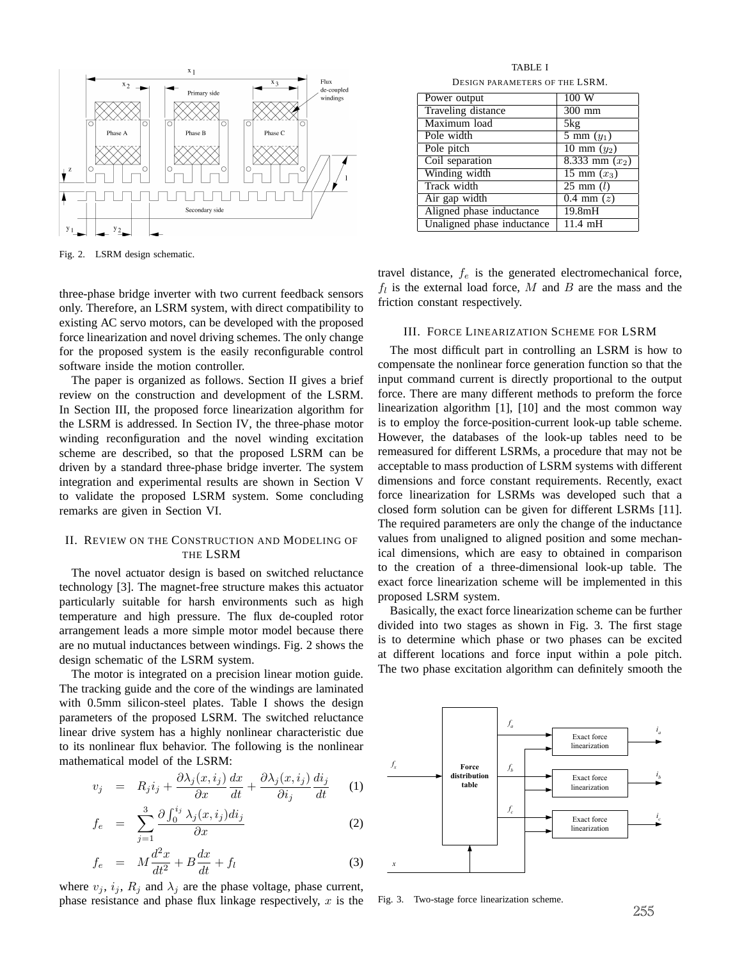

Fig. 2. LSRM design schematic.

three-phase bridge inverter with two current feedback sensors only. Therefore, an LSRM system, with direct compatibility to existing AC servo motors, can be developed with the proposed force linearization and novel driving schemes. The only change for the proposed system is the easily reconfigurable control software inside the motion controller.

The paper is organized as follows. Section II gives a brief review on the construction and development of the LSRM. In Section III, the proposed force linearization algorithm for the LSRM is addressed. In Section IV, the three-phase motor winding reconfiguration and the novel winding excitation scheme are described, so that the proposed LSRM can be driven by a standard three-phase bridge inverter. The system integration and experimental results are shown in Section V to validate the proposed LSRM system. Some concluding remarks are given in Section VI.

# II. REVIEW ON THE CONSTRUCTION AND MODELING OF THE LSRM

The novel actuator design is based on switched reluctance technology [3]. The magnet-free structure makes this actuator particularly suitable for harsh environments such as high temperature and high pressure. The flux de-coupled rotor arrangement leads a more simple motor model because there are no mutual inductances between windings. Fig. 2 shows the design schematic of the LSRM system.

The motor is integrated on a precision linear motion guide. The tracking guide and the core of the windings are laminated with 0.5mm silicon-steel plates. Table I shows the design parameters of the proposed LSRM. The switched reluctance linear drive system has a highly nonlinear characteristic due to its nonlinear flux behavior. The following is the nonlinear mathematical model of the LSRM:

$$
v_j = R_j i_j + \frac{\partial \lambda_j(x, i_j)}{\partial x} \frac{dx}{dt} + \frac{\partial \lambda_j(x, i_j)}{\partial i_j} \frac{di_j}{dt} \tag{1}
$$

$$
f_e = \sum_{j=1}^3 \frac{\partial \int_0^{i_j} \lambda_j(x, i_j) di_j}{\partial x} \tag{2}
$$

$$
f_e = M\frac{d^2x}{dt^2} + B\frac{dx}{dt} + f_l \tag{3}
$$

where  $v_j$ ,  $i_j$ ,  $R_j$  and  $\lambda_j$  are the phase voltage, phase current, phase resistance and phase flux linkage respectively,  $x$  is the

TABLE I DESIGN PARAMETERS OF THE LSRM.

| Power output               | 100W                             |
|----------------------------|----------------------------------|
| Traveling distance         | 300 mm                           |
| Maximum load               | 5kg                              |
| Pole width                 | $\overline{5}$ mm $(y_1)$        |
| Pole pitch                 | 10 mm $(y_2)$                    |
| Coil separation            | 8.333 mm $(x_2)$                 |
| Winding width              | $\overline{15 \text{ mm} (x_3)}$ |
| Track width                | $25 \text{ mm } (l)$             |
| Air gap width              | $0.4$ mm $(z)$                   |
| Aligned phase inductance   | 19.8mH                           |
| Unaligned phase inductance | $11.4 \text{ mH}$                |

travel distance,  $f_e$  is the generated electromechanical force,  $f_l$  is the external load force, M and B are the mass and the friction constant respectively.

## III. FORCE LINEARIZATION SCHEME FOR LSRM

The most difficult part in controlling an LSRM is how to compensate the nonlinear force generation function so that the input command current is directly proportional to the output force. There are many different methods to preform the force linearization algorithm [1], [10] and the most common way is to employ the force-position-current look-up table scheme. However, the databases of the look-up tables need to be remeasured for different LSRMs, a procedure that may not be acceptable to mass production of LSRM systems with different dimensions and force constant requirements. Recently, exact force linearization for LSRMs was developed such that a closed form solution can be given for different LSRMs [11]. The required parameters are only the change of the inductance values from unaligned to aligned position and some mechanical dimensions, which are easy to obtained in comparison to the creation of a three-dimensional look-up table. The exact force linearization scheme will be implemented in this proposed LSRM system.

Basically, the exact force linearization scheme can be further divided into two stages as shown in Fig. 3. The first stage is to determine which phase or two phases can be excited at different locations and force input within a pole pitch. The two phase excitation algorithm can definitely smooth the



Fig. 3. Two-stage force linearization scheme.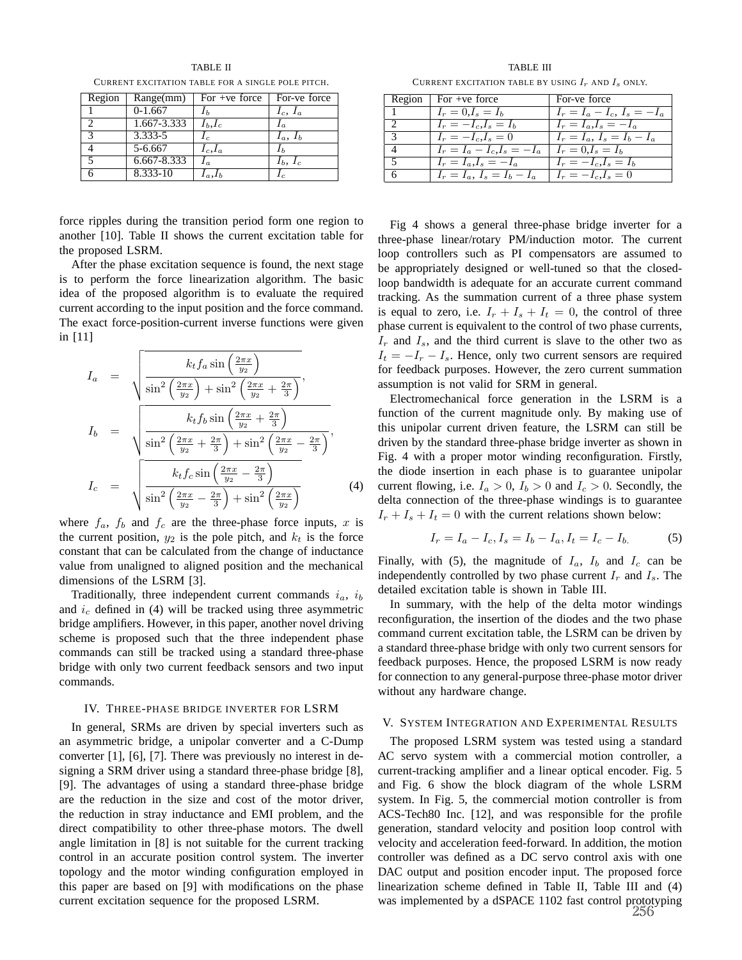TABLE II CURRENT EXCITATION TABLE FOR A SINGLE POLE PITCH.

| Region | Range(mm)   | For $+ve$ force | For-ve force  |
|--------|-------------|-----------------|---------------|
|        | $0-1.667$   |                 | $I_c$ , $I_a$ |
|        | 1.667-3.333 | $I_b, I_c$      | $\iota_a$     |
| 2      | $3.333 - 5$ |                 | $I_a, I_b$    |
|        | 5-6.667     | $I_c, I_a$      |               |
|        | 6.667-8.333 |                 | $I_b, I_c$    |
|        | 8.333-10    |                 |               |

force ripples during the transition period form one region to another [10]. Table II shows the current excitation table for the proposed LSRM.

After the phase excitation sequence is found, the next stage is to perform the force linearization algorithm. The basic idea of the proposed algorithm is to evaluate the required current according to the input position and the force command. The exact force-position-current inverse functions were given in [11]

$$
I_{a} = \sqrt{\frac{k_{t}f_{a}\sin\left(\frac{2\pi x}{y_{2}}\right)}{\sin^{2}\left(\frac{2\pi x}{y_{2}}\right) + \sin^{2}\left(\frac{2\pi x}{y_{2}} + \frac{2\pi}{3}\right)}},
$$
\n
$$
I_{b} = \sqrt{\frac{k_{t}f_{b}\sin\left(\frac{2\pi x}{y_{2}} + \frac{2\pi}{3}\right)}{\sin^{2}\left(\frac{2\pi x}{y_{2}} + \frac{2\pi}{3}\right) + \sin^{2}\left(\frac{2\pi x}{y_{2}} - \frac{2\pi}{3}\right)}},
$$
\n
$$
I_{c} = \sqrt{\frac{k_{t}f_{c}\sin\left(\frac{2\pi x}{y_{2}} - \frac{2\pi}{3}\right)}{\sin^{2}\left(\frac{2\pi x}{y_{2}} - \frac{2\pi}{3}\right) + \sin^{2}\left(\frac{2\pi x}{y_{2}}\right)}} \tag{4}
$$

where  $f_a$ ,  $f_b$  and  $f_c$  are the three-phase force inputs, x is the current position,  $y_2$  is the pole pitch, and  $k_t$  is the force constant that can be calculated from the change of inductance value from unaligned to aligned position and the mechanical dimensions of the LSRM [3].

Traditionally, three independent current commands  $i_a$ ,  $i_b$ and  $i_c$  defined in (4) will be tracked using three asymmetric bridge amplifiers. However, in this paper, another novel driving scheme is proposed such that the three independent phase commands can still be tracked using a standard three-phase bridge with only two current feedback sensors and two input commands.

#### IV. THREE-PHASE BRIDGE INVERTER FOR LSRM

In general, SRMs are driven by special inverters such as an asymmetric bridge, a unipolar converter and a C-Dump converter [1], [6], [7]. There was previously no interest in designing a SRM driver using a standard three-phase bridge [8], [9]. The advantages of using a standard three-phase bridge are the reduction in the size and cost of the motor driver, the reduction in stray inductance and EMI problem, and the direct compatibility to other three-phase motors. The dwell angle limitation in [8] is not suitable for the current tracking control in an accurate position control system. The inverter topology and the motor winding configuration employed in this paper are based on [9] with modifications on the phase current excitation sequence for the proposed LSRM.

TABLE III CURRENT EXCITATION TABLE BY USING  $I_r$  and  $I_s$  only.

|   | Region $\vert$ For +ve force                         | For-ve force                  |
|---|------------------------------------------------------|-------------------------------|
|   | $I_r = 0, I_s = I_b$                                 | $I_r = I_a - I_c, I_s = -I_a$ |
| 2 | $I_r = -I_c, I_s = I_b$                              | $I_r = I_a$ , $I_s = -I_a$    |
| 3 | $I_r = -I_c, I_s = 0$                                | $I_r = I_a, I_s = I_b - I_a$  |
|   | $I_r = I_a - I_c, I_s = -I_a$   $I_r = 0, I_s = I_b$ |                               |
| 5 | $I_r = I_a$ , $I_s = -I_a$                           | $I_r = -I_c, I_s = I_b$       |
|   | $I_r = I_a, I_s = I_b - I_a$                         | $I_r = -I_c, I_s = 0$         |

Fig 4 shows a general three-phase bridge inverter for a three-phase linear/rotary PM/induction motor. The current loop controllers such as PI compensators are assumed to be appropriately designed or well-tuned so that the closedloop bandwidth is adequate for an accurate current command tracking. As the summation current of a three phase system is equal to zero, i.e.  $I_r + I_s + I_t = 0$ , the control of three phase current is equivalent to the control of two phase currents,  $I_r$  and  $I_s$ , and the third current is slave to the other two as  $I_t = -I_r - I_s$ . Hence, only two current sensors are required for feedback purposes. However, the zero current summation assumption is not valid for SRM in general.

Electromechanical force generation in the LSRM is a function of the current magnitude only. By making use of this unipolar current driven feature, the LSRM can still be driven by the standard three-phase bridge inverter as shown in Fig. 4 with a proper motor winding reconfiguration. Firstly, the diode insertion in each phase is to guarantee unipolar current flowing, i.e.  $I_a > 0$ ,  $I_b > 0$  and  $I_c > 0$ . Secondly, the delta connection of the three-phase windings is to guarantee  $I_r + I_s + I_t = 0$  with the current relations shown below:

$$
I_r = I_a - I_c, I_s = I_b - I_a, I_t = I_c - I_b.
$$
 (5)

Finally, with (5), the magnitude of  $I_a$ ,  $I_b$  and  $I_c$  can be independently controlled by two phase current  $I_r$  and  $I_s$ . The detailed excitation table is shown in Table III.

In summary, with the help of the delta motor windings reconfiguration, the insertion of the diodes and the two phase command current excitation table, the LSRM can be driven by a standard three-phase bridge with only two current sensors for feedback purposes. Hence, the proposed LSRM is now ready for connection to any general-purpose three-phase motor driver without any hardware change.

#### V. SYSTEM INTEGRATION AND EXPERIMENTAL RESULTS

The proposed LSRM system was tested using a standard AC servo system with a commercial motion controller, a current-tracking amplifier and a linear optical encoder. Fig. 5 and Fig. 6 show the block diagram of the whole LSRM system. In Fig. 5, the commercial motion controller is from ACS-Tech80 Inc. [12], and was responsible for the profile generation, standard velocity and position loop control with velocity and acceleration feed-forward. In addition, the motion controller was defined as a DC servo control axis with one DAC output and position encoder input. The proposed force linearization scheme defined in Table II, Table III and (4) was implemented by a dSPACE 1102 fast control prototyping 256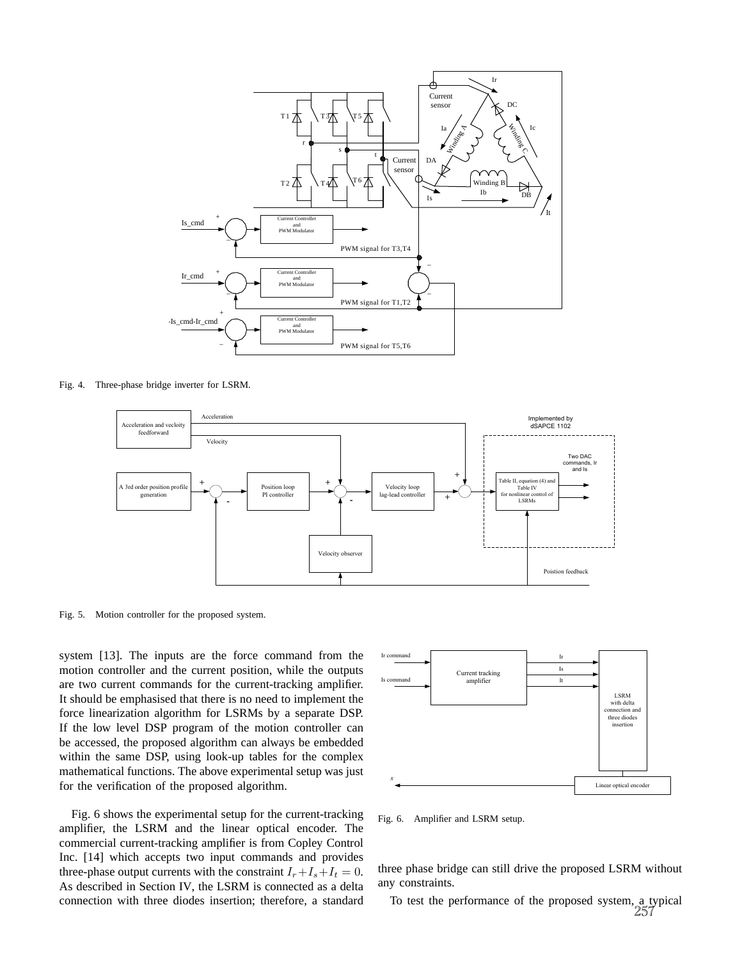

Fig. 4. Three-phase bridge inverter for LSRM.



Fig. 5. Motion controller for the proposed system.

system [13]. The inputs are the force command from the motion controller and the current position, while the outputs are two current commands for the current-tracking amplifier. It should be emphasised that there is no need to implement the force linearization algorithm for LSRMs by a separate DSP. If the low level DSP program of the motion controller can be accessed, the proposed algorithm can always be embedded within the same DSP, using look-up tables for the complex mathematical functions. The above experimental setup was just for the verification of the proposed algorithm.

Fig. 6 shows the experimental setup for the current-tracking amplifier, the LSRM and the linear optical encoder. The commercial current-tracking amplifier is from Copley Control Inc. [14] which accepts two input commands and provides three-phase output currents with the constraint  $I_r+I_s+I_t = 0$ . As described in Section IV, the LSRM is connected as a delta connection with three diodes insertion; therefore, a standard



Fig. 6. Amplifier and LSRM setup.

three phase bridge can still drive the proposed LSRM without any constraints.

To test the performance of the proposed system, a typical 257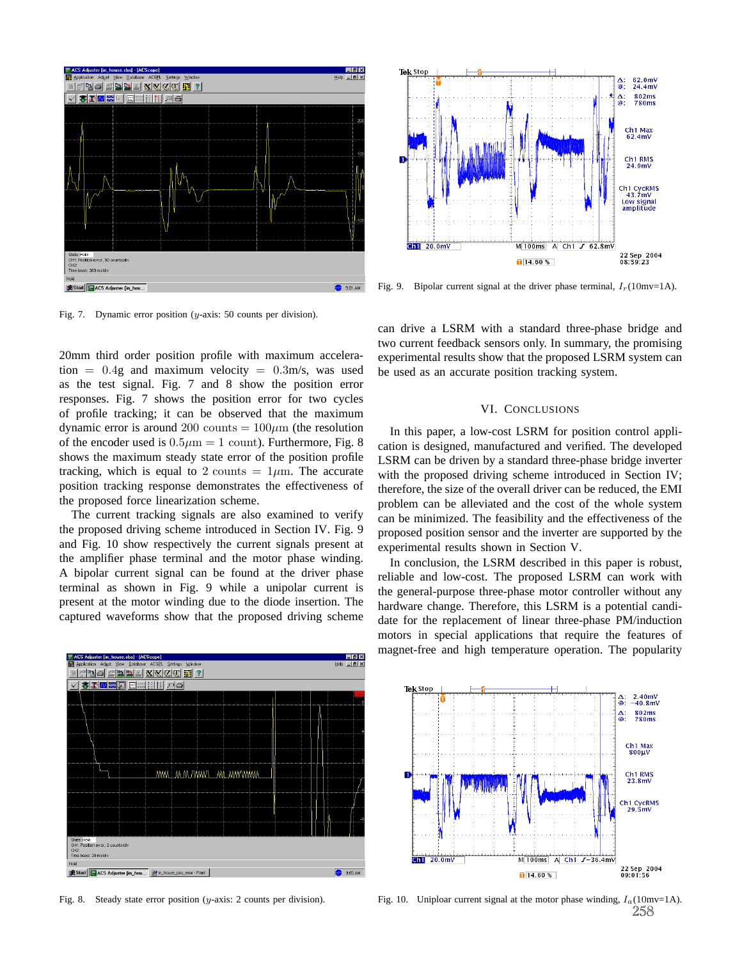

Fig. 7. Dynamic error position (y-axis: 50 counts per division).

20mm third order position profile with maximum acceleration =  $0.4g$  and maximum velocity =  $0.3m/s$ , was used as the test signal. Fig. 7 and 8 show the position error responses. Fig. 7 shows the position error for two cycles of profile tracking; it can be observed that the maximum dynamic error is around 200 counts  $= 100 \mu m$  (the resolution of the encoder used is  $0.5\mu m = 1$  count). Furthermore, Fig. 8 shows the maximum steady state error of the position profile tracking, which is equal to 2 counts =  $1\mu$ m. The accurate position tracking response demonstrates the effectiveness of the proposed force linearization scheme.

The current tracking signals are also examined to verify the proposed driving scheme introduced in Section IV. Fig. 9 and Fig. 10 show respectively the current signals present at the amplifier phase terminal and the motor phase winding. A bipolar current signal can be found at the driver phase terminal as shown in Fig. 9 while a unipolar current is present at the motor winding due to the diode insertion. The captured waveforms show that the proposed driving scheme



Tek Stop 62.0mV<br>24.4mV :ھ<br>∶® 802ms<br>780ms .<br>ه Ch<sub>1</sub> Max 62.4mV Ch1 RMS<br>24.9mV Ch1 CycRMS<br>43.7mV<br>Low signal<br>amplitude  $\overline{GM}$  20.0mv  $M[100ms]$  A Ch1  $J$  62.8mV 22 Sep 2004<br>08:59:23  $14.60%$ 

Fig. 9. Bipolar current signal at the driver phase terminal,  $I_r(10 \text{mv} = 1 \text{A})$ .

can drive a LSRM with a standard three-phase bridge and two current feedback sensors only. In summary, the promising experimental results show that the proposed LSRM system can be used as an accurate position tracking system.

## VI. CONCLUSIONS

In this paper, a low-cost LSRM for position control application is designed, manufactured and verified. The developed LSRM can be driven by a standard three-phase bridge inverter with the proposed driving scheme introduced in Section IV; therefore, the size of the overall driver can be reduced, the EMI problem can be alleviated and the cost of the whole system can be minimized. The feasibility and the effectiveness of the proposed position sensor and the inverter are supported by the experimental results shown in Section V.

In conclusion, the LSRM described in this paper is robust, reliable and low-cost. The proposed LSRM can work with the general-purpose three-phase motor controller without any hardware change. Therefore, this LSRM is a potential candidate for the replacement of linear three-phase PM/induction motors in special applications that require the features of magnet-free and high temperature operation. The popularity



Fig. 8. Steady state error position (y-axis: 2 counts per division).

Fig. 10. Uniploar current signal at the motor phase winding,  $I_a(10 \text{mv} = 1 \text{A})$ . 258